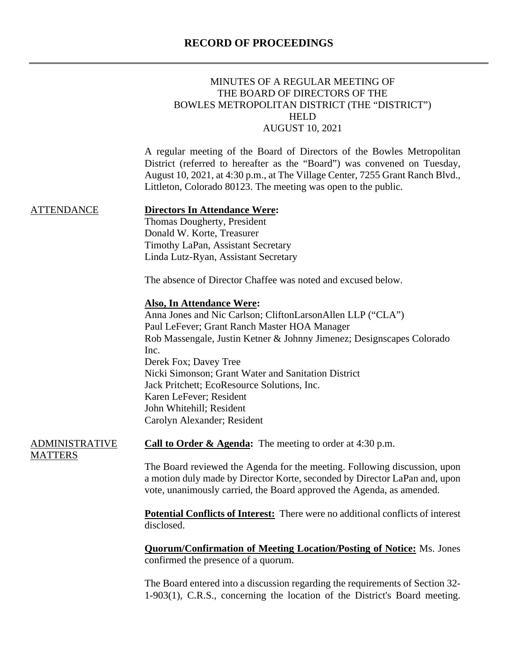# **RECORD OF PROCEEDINGS**

|                                         | MINUTES OF A REGULAR MEETING OF<br>THE BOARD OF DIRECTORS OF THE<br>BOWLES METROPOLITAN DISTRICT (THE "DISTRICT")<br><b>HELD</b><br><b>AUGUST 10, 2021</b>                                                                                                                                                                                                                                                                                           |
|-----------------------------------------|------------------------------------------------------------------------------------------------------------------------------------------------------------------------------------------------------------------------------------------------------------------------------------------------------------------------------------------------------------------------------------------------------------------------------------------------------|
|                                         | A regular meeting of the Board of Directors of the Bowles Metropolitan<br>District (referred to hereafter as the "Board") was convened on Tuesday,<br>August 10, 2021, at 4:30 p.m., at The Village Center, 7255 Grant Ranch Blvd.,<br>Littleton, Colorado 80123. The meeting was open to the public.                                                                                                                                                |
| <b>ATTENDANCE</b>                       | <b>Directors In Attendance Were:</b><br>Thomas Dougherty, President<br>Donald W. Korte, Treasurer<br>Timothy LaPan, Assistant Secretary<br>Linda Lutz-Ryan, Assistant Secretary                                                                                                                                                                                                                                                                      |
|                                         | The absence of Director Chaffee was noted and excused below.                                                                                                                                                                                                                                                                                                                                                                                         |
|                                         | <b>Also, In Attendance Were:</b><br>Anna Jones and Nic Carlson; CliftonLarsonAllen LLP ("CLA")<br>Paul LeFever; Grant Ranch Master HOA Manager<br>Rob Massengale, Justin Ketner & Johnny Jimenez; Designscapes Colorado<br>Inc.<br>Derek Fox; Davey Tree<br>Nicki Simonson; Grant Water and Sanitation District<br>Jack Pritchett; EcoResource Solutions, Inc.<br>Karen LeFever; Resident<br>John Whitehill; Resident<br>Carolyn Alexander; Resident |
| <b>ADMINISTRATIVE</b><br><b>MATTERS</b> | <b>Call to Order &amp; Agenda:</b> The meeting to order at $4:30$ p.m.                                                                                                                                                                                                                                                                                                                                                                               |
|                                         | The Board reviewed the Agenda for the meeting. Following discussion, upon<br>a motion duly made by Director Korte, seconded by Director LaPan and, upon<br>vote, unanimously carried, the Board approved the Agenda, as amended.                                                                                                                                                                                                                     |
|                                         | <b>Potential Conflicts of Interest:</b> There were no additional conflicts of interest<br>disclosed.                                                                                                                                                                                                                                                                                                                                                 |
|                                         | <b>Quorum/Confirmation of Meeting Location/Posting of Notice:</b> Ms. Jones<br>confirmed the presence of a quorum.                                                                                                                                                                                                                                                                                                                                   |

The Board entered into a discussion regarding the requirements of Section 32- 1-903(1), C.R.S., concerning the location of the District's Board meeting.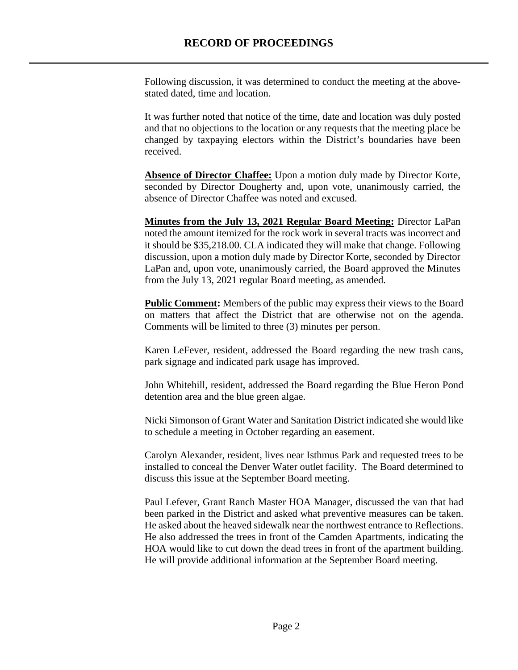Following discussion, it was determined to conduct the meeting at the abovestated dated, time and location.

It was further noted that notice of the time, date and location was duly posted and that no objections to the location or any requests that the meeting place be changed by taxpaying electors within the District's boundaries have been received.

Absence of Director Chaffee: Upon a motion duly made by Director Korte, seconded by Director Dougherty and, upon vote, unanimously carried, the absence of Director Chaffee was noted and excused.

**Minutes from the July 13, 2021 Regular Board Meeting:** Director LaPan noted the amount itemized for the rock work in several tracts was incorrect and it should be \$35,218.00. CLA indicated they will make that change. Following discussion, upon a motion duly made by Director Korte, seconded by Director LaPan and, upon vote, unanimously carried, the Board approved the Minutes from the July 13, 2021 regular Board meeting, as amended.

**Public Comment:** Members of the public may express their views to the Board on matters that affect the District that are otherwise not on the agenda. Comments will be limited to three (3) minutes per person.

Karen LeFever, resident, addressed the Board regarding the new trash cans, park signage and indicated park usage has improved.

John Whitehill, resident, addressed the Board regarding the Blue Heron Pond detention area and the blue green algae.

Nicki Simonson of Grant Water and Sanitation District indicated she would like to schedule a meeting in October regarding an easement.

Carolyn Alexander, resident, lives near Isthmus Park and requested trees to be installed to conceal the Denver Water outlet facility. The Board determined to discuss this issue at the September Board meeting.

Paul Lefever, Grant Ranch Master HOA Manager, discussed the van that had been parked in the District and asked what preventive measures can be taken. He asked about the heaved sidewalk near the northwest entrance to Reflections. He also addressed the trees in front of the Camden Apartments, indicating the HOA would like to cut down the dead trees in front of the apartment building. He will provide additional information at the September Board meeting.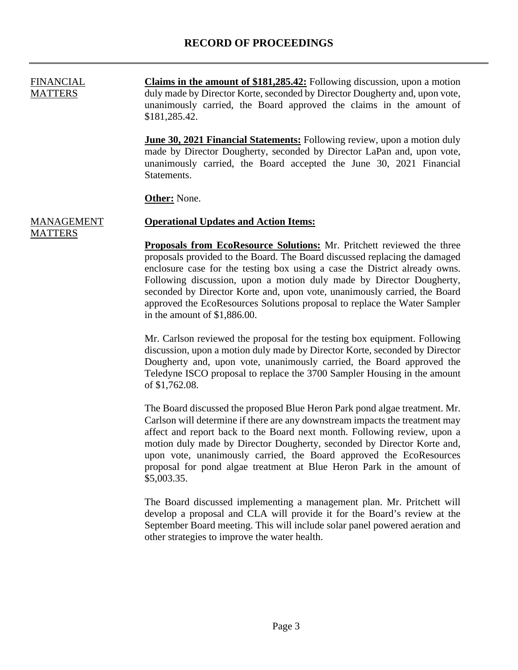FINANCIAL **MATTERS Claims in the amount of \$181,285.42:** Following discussion, upon a motion duly made by Director Korte, seconded by Director Dougherty and, upon vote, unanimously carried, the Board approved the claims in the amount of \$181,285.42.

> **June 30, 2021 Financial Statements:** Following review, upon a motion duly made by Director Dougherty, seconded by Director LaPan and, upon vote, unanimously carried, the Board accepted the June 30, 2021 Financial Statements.

**Other:** None.

MATTERS

#### **MANAGEMENT Operational Updates and Action Items:**

**Proposals from EcoResource Solutions:** Mr. Pritchett reviewed the three proposals provided to the Board. The Board discussed replacing the damaged enclosure case for the testing box using a case the District already owns. Following discussion, upon a motion duly made by Director Dougherty, seconded by Director Korte and, upon vote, unanimously carried, the Board approved the EcoResources Solutions proposal to replace the Water Sampler in the amount of \$1,886.00.

Mr. Carlson reviewed the proposal for the testing box equipment. Following discussion, upon a motion duly made by Director Korte, seconded by Director Dougherty and, upon vote, unanimously carried, the Board approved the Teledyne ISCO proposal to replace the 3700 Sampler Housing in the amount of \$1,762.08.

The Board discussed the proposed Blue Heron Park pond algae treatment. Mr. Carlson will determine if there are any downstream impacts the treatment may affect and report back to the Board next month. Following review, upon a motion duly made by Director Dougherty, seconded by Director Korte and, upon vote, unanimously carried, the Board approved the EcoResources proposal for pond algae treatment at Blue Heron Park in the amount of \$5,003.35.

The Board discussed implementing a management plan. Mr. Pritchett will develop a proposal and CLA will provide it for the Board's review at the September Board meeting. This will include solar panel powered aeration and other strategies to improve the water health.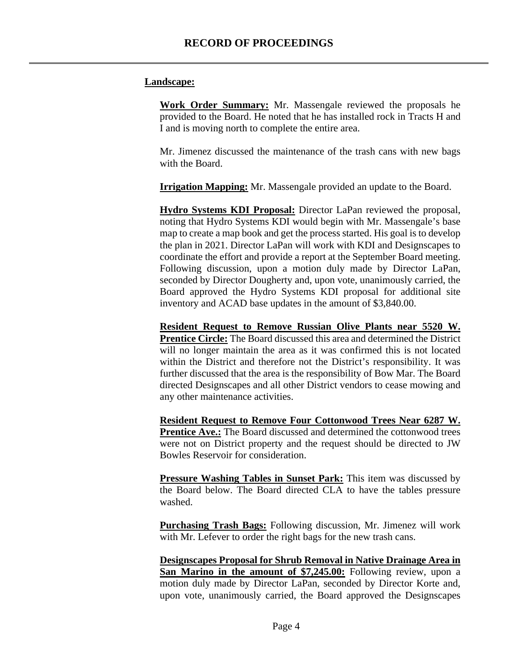### **Landscape:**

**Work Order Summary:** Mr. Massengale reviewed the proposals he provided to the Board. He noted that he has installed rock in Tracts H and I and is moving north to complete the entire area.

Mr. Jimenez discussed the maintenance of the trash cans with new bags with the Board.

**Irrigation Mapping:** Mr. Massengale provided an update to the Board.

**Hydro Systems KDI Proposal:** Director LaPan reviewed the proposal, noting that Hydro Systems KDI would begin with Mr. Massengale's base map to create a map book and get the process started. His goal is to develop the plan in 2021. Director LaPan will work with KDI and Designscapes to coordinate the effort and provide a report at the September Board meeting. Following discussion, upon a motion duly made by Director LaPan, seconded by Director Dougherty and, upon vote, unanimously carried, the Board approved the Hydro Systems KDI proposal for additional site inventory and ACAD base updates in the amount of \$3,840.00.

**Resident Request to Remove Russian Olive Plants near 5520 W. Prentice Circle:** The Board discussed this area and determined the District will no longer maintain the area as it was confirmed this is not located within the District and therefore not the District's responsibility. It was further discussed that the area is the responsibility of Bow Mar. The Board directed Designscapes and all other District vendors to cease mowing and any other maintenance activities.

**Resident Request to Remove Four Cottonwood Trees Near 6287 W. Prentice Ave.:** The Board discussed and determined the cottonwood trees were not on District property and the request should be directed to JW Bowles Reservoir for consideration.

**Pressure Washing Tables in Sunset Park:** This item was discussed by the Board below. The Board directed CLA to have the tables pressure washed.

**Purchasing Trash Bags:** Following discussion, Mr. Jimenez will work with Mr. Lefever to order the right bags for the new trash cans.

**Designscapes Proposal for Shrub Removal in Native Drainage Area in San Marino in the amount of \$7,245.00:** Following review, upon a motion duly made by Director LaPan, seconded by Director Korte and, upon vote, unanimously carried, the Board approved the Designscapes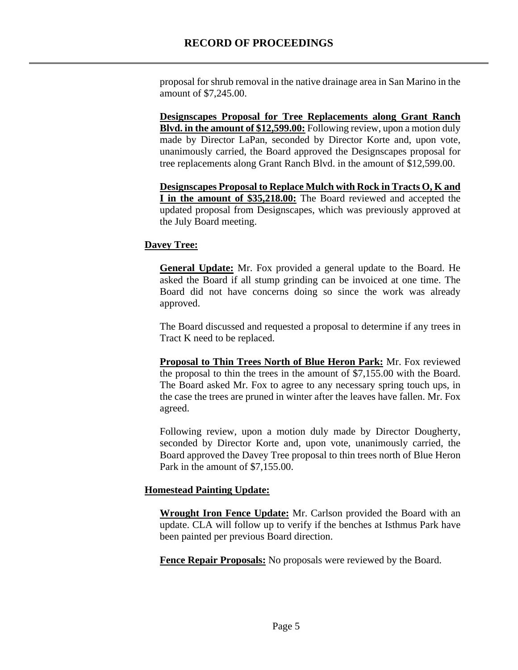proposal for shrub removal in the native drainage area in San Marino in the amount of \$7,245.00.

**Designscapes Proposal for Tree Replacements along Grant Ranch Blvd. in the amount of \$12,599.00:** Following review, upon a motion duly made by Director LaPan, seconded by Director Korte and, upon vote, unanimously carried, the Board approved the Designscapes proposal for tree replacements along Grant Ranch Blvd. in the amount of \$12,599.00.

**Designscapes Proposal to Replace Mulch with Rock in Tracts O, K and I in the amount of \$35,218.00:** The Board reviewed and accepted the updated proposal from Designscapes, which was previously approved at the July Board meeting.

# **Davey Tree:**

**General Update:** Mr. Fox provided a general update to the Board. He asked the Board if all stump grinding can be invoiced at one time. The Board did not have concerns doing so since the work was already approved.

The Board discussed and requested a proposal to determine if any trees in Tract K need to be replaced.

**Proposal to Thin Trees North of Blue Heron Park:** Mr. Fox reviewed the proposal to thin the trees in the amount of \$7,155.00 with the Board. The Board asked Mr. Fox to agree to any necessary spring touch ups, in the case the trees are pruned in winter after the leaves have fallen. Mr. Fox agreed.

Following review, upon a motion duly made by Director Dougherty, seconded by Director Korte and, upon vote, unanimously carried, the Board approved the Davey Tree proposal to thin trees north of Blue Heron Park in the amount of \$7,155.00.

# **Homestead Painting Update:**

**Wrought Iron Fence Update:** Mr. Carlson provided the Board with an update. CLA will follow up to verify if the benches at Isthmus Park have been painted per previous Board direction.

**Fence Repair Proposals:** No proposals were reviewed by the Board.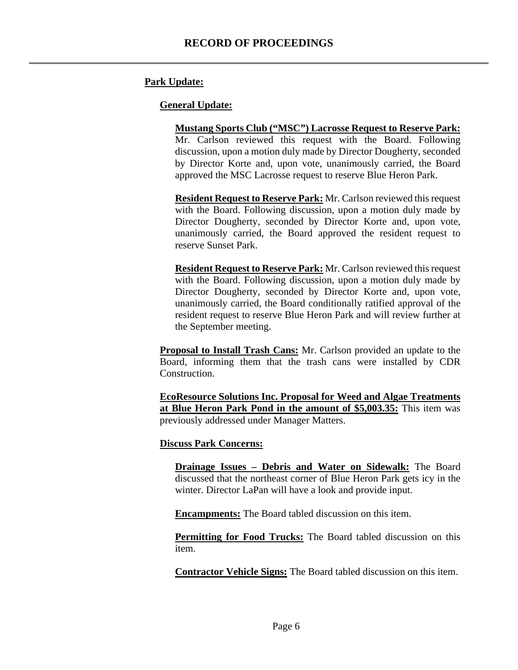# **Park Update:**

#### **General Update:**

**Mustang Sports Club ("MSC") Lacrosse Request to Reserve Park:** Mr. Carlson reviewed this request with the Board. Following discussion, upon a motion duly made by Director Dougherty, seconded by Director Korte and, upon vote, unanimously carried, the Board approved the MSC Lacrosse request to reserve Blue Heron Park.

**Resident Request to Reserve Park:** Mr. Carlson reviewed this request with the Board. Following discussion, upon a motion duly made by Director Dougherty, seconded by Director Korte and, upon vote, unanimously carried, the Board approved the resident request to reserve Sunset Park.

**Resident Request to Reserve Park:** Mr. Carlson reviewed this request with the Board. Following discussion, upon a motion duly made by Director Dougherty, seconded by Director Korte and, upon vote, unanimously carried, the Board conditionally ratified approval of the resident request to reserve Blue Heron Park and will review further at the September meeting.

**Proposal to Install Trash Cans:** Mr. Carlson provided an update to the Board, informing them that the trash cans were installed by CDR Construction.

**EcoResource Solutions Inc. Proposal for Weed and Algae Treatments at Blue Heron Park Pond in the amount of \$5,003.35:** This item was previously addressed under Manager Matters.

#### **Discuss Park Concerns:**

**Drainage Issues – Debris and Water on Sidewalk:** The Board discussed that the northeast corner of Blue Heron Park gets icy in the winter. Director LaPan will have a look and provide input.

**Encampments:** The Board tabled discussion on this item.

**Permitting for Food Trucks:** The Board tabled discussion on this item.

**Contractor Vehicle Signs:** The Board tabled discussion on this item.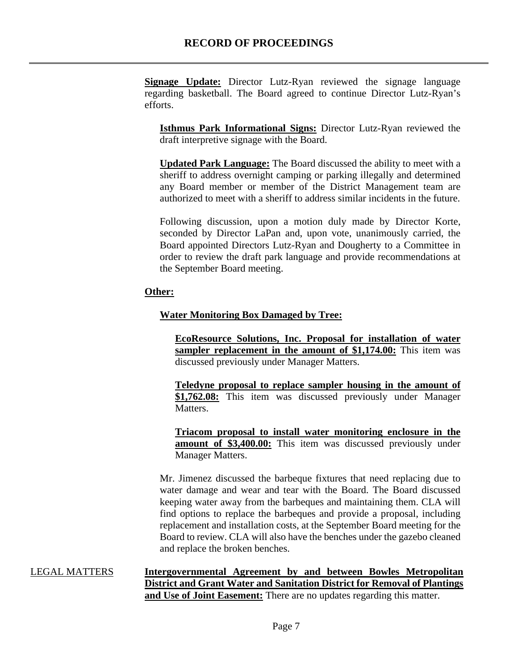**Signage Update:** Director Lutz-Ryan reviewed the signage language regarding basketball. The Board agreed to continue Director Lutz-Ryan's efforts.

**Isthmus Park Informational Signs:** Director Lutz-Ryan reviewed the draft interpretive signage with the Board.

**Updated Park Language:** The Board discussed the ability to meet with a sheriff to address overnight camping or parking illegally and determined any Board member or member of the District Management team are authorized to meet with a sheriff to address similar incidents in the future.

Following discussion, upon a motion duly made by Director Korte, seconded by Director LaPan and, upon vote, unanimously carried, the Board appointed Directors Lutz-Ryan and Dougherty to a Committee in order to review the draft park language and provide recommendations at the September Board meeting.

# **Other:**

# **Water Monitoring Box Damaged by Tree:**

**EcoResource Solutions, Inc. Proposal for installation of water sampler replacement in the amount of \$1,174.00:** This item was discussed previously under Manager Matters.

**Teledyne proposal to replace sampler housing in the amount of \$1,762.08:** This item was discussed previously under Manager Matters.

**Triacom proposal to install water monitoring enclosure in the amount of \$3,400.00:** This item was discussed previously under Manager Matters.

Mr. Jimenez discussed the barbeque fixtures that need replacing due to water damage and wear and tear with the Board. The Board discussed keeping water away from the barbeques and maintaining them. CLA will find options to replace the barbeques and provide a proposal, including replacement and installation costs, at the September Board meeting for the Board to review. CLA will also have the benches under the gazebo cleaned and replace the broken benches.

LEGAL MATTERS **Intergovernmental Agreement by and between Bowles Metropolitan District and Grant Water and Sanitation District for Removal of Plantings**  and Use of Joint Easement: There are no updates regarding this matter.